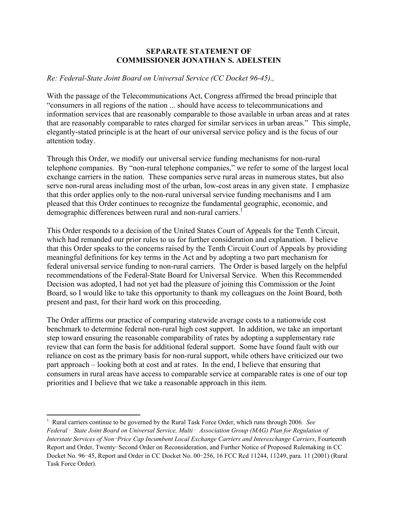## **SEPARATE STATEMENT OF COMMISSIONER JONATHAN S. ADELSTEIN**

## *Re: Federal-State Joint Board on Universal Service (CC Docket 96-45).,*

With the passage of the Telecommunications Act, Congress affirmed the broad principle that "consumers in all regions of the nation ... should have access to telecommunications and information services that are reasonably comparable to those available in urban areas and at rates that are reasonably comparable to rates charged for similar services in urban areas." This simple, elegantly-stated principle is at the heart of our universal service policy and is the focus of our attention today.

Through this Order, we modify our universal service funding mechanisms for non-rural telephone companies. By "non-rural telephone companies," we refer to some of the largest local exchange carriers in the nation. These companies serve rural areas in numerous states, but also serve non-rural areas including most of the urban, low-cost areas in any given state. I emphasize that this order applies only to the non-rural universal service funding mechanisms and I am pleased that this Order continues to recognize the fundamental geographic, economic, and demographic differences between rural and non-rural carriers.<sup>1</sup>

This Order responds to a decision of the United States Court of Appeals for the Tenth Circuit, which had remanded our prior rules to us for further consideration and explanation. I believe that this Order speaks to the concerns raised by the Tenth Circuit Court of Appeals by providing meaningful definitions for key terms in the Act and by adopting a two part mechanism for federal universal service funding to non-rural carriers. The Order is based largely on the helpful recommendations of the Federal-State Board for Universal Service. When this Recommended Decision was adopted, I had not yet had the pleasure of joining this Commission or the Joint Board, so I would like to take this opportunity to thank my colleagues on the Joint Board, both present and past, for their hard work on this proceeding.

The Order affirms our practice of comparing statewide average costs to a nationwide cost benchmark to determine federal non-rural high cost support. In addition, we take an important step toward ensuring the reasonable comparability of rates by adopting a supplementary rate review that can form the basis for additional federal support. Some have found fault with our reliance on cost as the primary basis for non-rural support, while others have criticized our two part approach – looking both at cost and at rates. In the end, I believe that ensuring that consumers in rural areas have access to comparable service at comparable rates is one of our top priorities and I believe that we take a reasonable approach in this item.

1

<sup>1</sup> Rural carriers continue to be governed by the Rural Task Force Order, which runs through 2006*. See Federal*‑ *State Joint Board on Universal Service, Multi*‑ *Association Group (MAG) Plan for Regulation of Interstate Services of Non*-*Price Cap Incumbent Local Exchange Carriers and Interexchange Carriers*, Fourteenth Report and Order, Twenty-Second Order on Reconsideration, and Further Notice of Proposed Rulemaking in CC Docket No. 96-45, Report and Order in CC Docket No. 00-256, 16 FCC Rcd 11244, 11249, para. 11 (2001) (Rural Task Force Order).